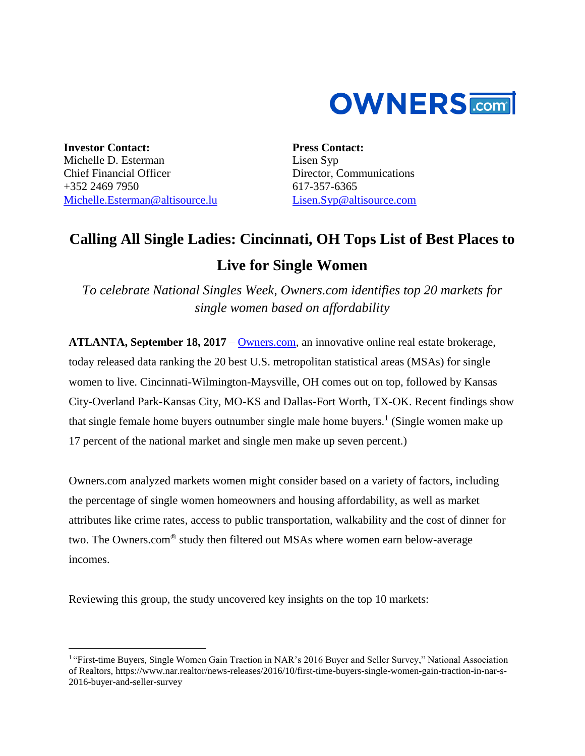

**Investor Contact:** Michelle D. Esterman Chief Financial Officer +352 2469 7950 [Michelle.Esterman@altisource.lu](mailto:Michelle.Esterman@altisource.lu)

 $\overline{\phantom{a}}$ 

**Press Contact:** Lisen Syp Director, Communications 617-357-6365 [Lisen.Syp@altisource.com](mailto:Lisen.Syp@altisource.com) 

# **Calling All Single Ladies: Cincinnati, OH Tops List of Best Places to**

## **Live for Single Women**

*To celebrate National Singles Week, Owners.com identifies top 20 markets for single women based on affordability*

**ATLANTA, September 18, 2017** – [Owners.com,](https://www.owners.com/?utm_source=pr&utm_medium=pr&utm_campaign=singlewomenmarkets&utm_content=first) an innovative online real estate brokerage, today released data ranking the 20 best U.S. metropolitan statistical areas (MSAs) for single women to live. Cincinnati-Wilmington-Maysville, OH comes out on top, followed by Kansas City-Overland Park-Kansas City, MO-KS and Dallas-Fort Worth, TX-OK. Recent findings show that single female home buyers outnumber single male home buyers. 1 (Single women make up 17 percent of the national market and single men make up seven percent.)

Owners.com analyzed markets women might consider based on a variety of factors, including the percentage of single women homeowners and housing affordability, as well as market attributes like crime rates, access to public transportation, walkability and the cost of dinner for two. The Owners.com® study then filtered out MSAs where women earn below-average incomes.

Reviewing this group, the study uncovered key insights on the top 10 markets:

<sup>&</sup>lt;sup>1</sup> "First-time Buyers, Single Women Gain Traction in NAR's 2016 Buyer and Seller Survey," National Association of Realtors, [https://www.nar.realtor/news-releases/2016/10/first-time-buyers-single-women-gain-traction-in-nar-s-](https://www.nar.realtor/news-releases/2016/10/first-time-buyers-single-women-gain-traction-in-nar-s-2016-buyer-and-seller-survey)[2016-buyer-and-seller-survey](https://www.nar.realtor/news-releases/2016/10/first-time-buyers-single-women-gain-traction-in-nar-s-2016-buyer-and-seller-survey)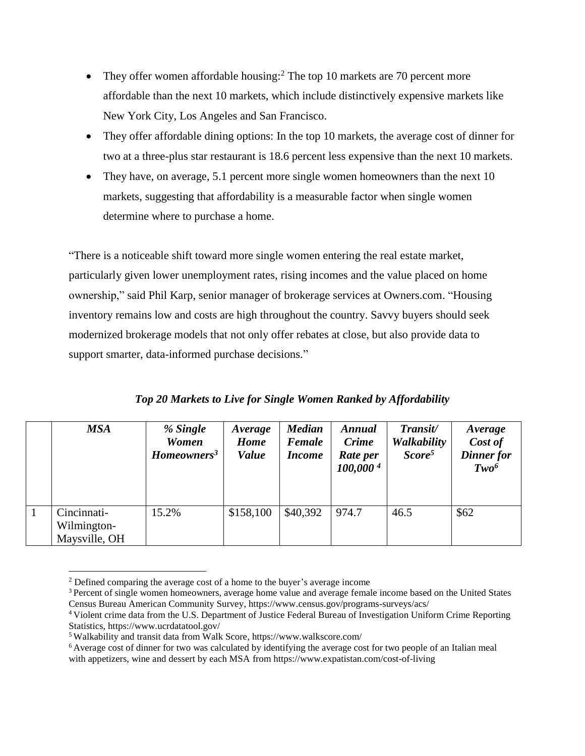- They offer women affordable housing:<sup>2</sup> The top 10 markets are 70 percent more affordable than the next 10 markets, which include distinctively expensive markets like New York City, Los Angeles and San Francisco.
- They offer affordable dining options: In the top 10 markets, the average cost of dinner for two at a three-plus star restaurant is 18.6 percent less expensive than the next 10 markets.
- They have, on average, 5.1 percent more single women homeowners than the next 10 markets, suggesting that affordability is a measurable factor when single women determine where to purchase a home.

"There is a noticeable shift toward more single women entering the real estate market, particularly given lower unemployment rates, rising incomes and the value placed on home ownership," said Phil Karp, senior manager of brokerage services at Owners.com. "Housing inventory remains low and costs are high throughout the country. Savvy buyers should seek modernized brokerage models that not only offer rebates at close, but also provide data to support smarter, data-informed purchase decisions."

|  |  |  | Top 20 Markets to Live for Single Women Ranked by Affordability |
|--|--|--|-----------------------------------------------------------------|
|  |  |  |                                                                 |

| <b>MSA</b>                                  | % Single<br><b>Women</b><br>Homeowners <sup>3</sup> | Average<br><b>Home</b><br><b>Value</b> | <b>Median</b><br><b>Female</b><br><i>Income</i> | <b>Annual</b><br><b>Crime</b><br>Rate per<br>100,000 <sup>4</sup> | Transit/<br>Walkability<br>Score <sup>5</sup> | Average<br>Cost of<br>Dinner for<br>Two <sup>6</sup> |
|---------------------------------------------|-----------------------------------------------------|----------------------------------------|-------------------------------------------------|-------------------------------------------------------------------|-----------------------------------------------|------------------------------------------------------|
| Cincinnati-<br>Wilmington-<br>Maysville, OH | 15.2%                                               | \$158,100                              | \$40,392                                        | 974.7                                                             | 46.5                                          | \$62                                                 |

<sup>&</sup>lt;sup>2</sup> Defined comparing the average cost of a home to the buyer's average income

 $\overline{\phantom{a}}$ 

<sup>3</sup> Percent of single women homeowners, average home value and average female income based on the United States Census Bureau American Community Survey, <https://www.census.gov/programs-surveys/acs/>

<sup>4</sup> Violent crime data from the U.S. Department of Justice Federal Bureau of Investigation Uniform Crime Reporting Statistics, <https://www.ucrdatatool.gov/>

<sup>5</sup> Walkability and transit data from Walk Score, https://www.walkscore.com/

<sup>6</sup> Average cost of dinner for two was calculated by identifying the average cost for two people of an Italian meal with appetizers, wine and dessert by each MSA from https://www.expatistan.com/cost-of-living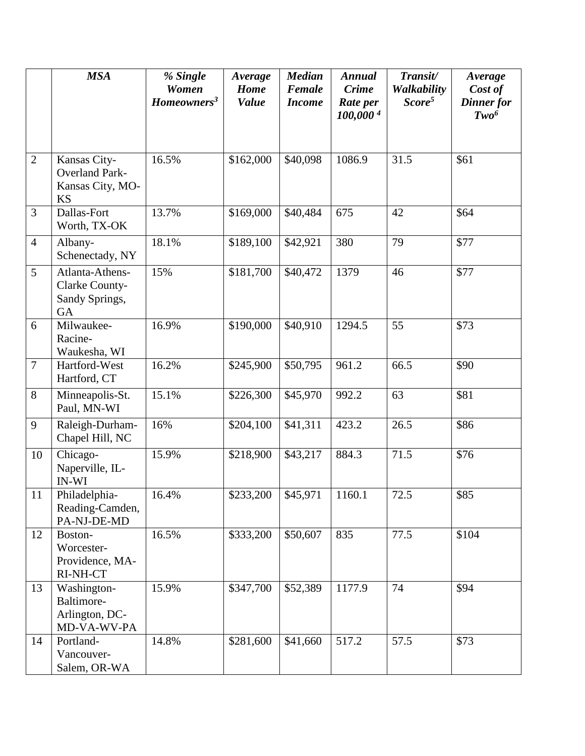|                | <b>MSA</b>                                                             | % Single<br><b>Women</b><br>Homeowners <sup>3</sup> | Average<br>Home<br><b>Value</b> | <b>Median</b><br>Female<br><b>Income</b> | <b>Annual</b><br><b>Crime</b><br>Rate per<br>100,0004 | Transit/<br>Walkability<br>Score <sup>5</sup> | Average<br>Cost of<br>Dinner for<br>Two <sup>6</sup> |
|----------------|------------------------------------------------------------------------|-----------------------------------------------------|---------------------------------|------------------------------------------|-------------------------------------------------------|-----------------------------------------------|------------------------------------------------------|
| $\overline{2}$ | Kansas City-<br><b>Overland Park-</b><br>Kansas City, MO-<br><b>KS</b> | 16.5%                                               | \$162,000                       | \$40,098                                 | 1086.9                                                | 31.5                                          | \$61                                                 |
| 3              | Dallas-Fort<br>Worth, TX-OK                                            | 13.7%                                               | \$169,000                       | \$40,484                                 | 675                                                   | 42                                            | \$64                                                 |
| $\overline{4}$ | Albany-<br>Schenectady, NY                                             | 18.1%                                               | \$189,100                       | \$42,921                                 | 380                                                   | 79                                            | \$77                                                 |
| 5              | Atlanta-Athens-<br>Clarke County-<br>Sandy Springs,<br>GA              | 15%                                                 | \$181,700                       | \$40,472                                 | 1379                                                  | 46                                            | \$77                                                 |
| 6              | Milwaukee-<br>Racine-<br>Waukesha, WI                                  | 16.9%                                               | \$190,000                       | \$40,910                                 | 1294.5                                                | 55                                            | \$73                                                 |
| $\overline{7}$ | Hartford-West<br>Hartford, CT                                          | 16.2%                                               | \$245,900                       | \$50,795                                 | 961.2                                                 | 66.5                                          | \$90                                                 |
| 8              | Minneapolis-St.<br>Paul, MN-WI                                         | 15.1%                                               | \$226,300                       | \$45,970                                 | 992.2                                                 | 63                                            | \$81                                                 |
| 9              | Raleigh-Durham-<br>Chapel Hill, NC                                     | 16%                                                 | \$204,100                       | \$41,311                                 | 423.2                                                 | 26.5                                          | \$86                                                 |
| 10             | Chicago-<br>Naperville, IL-<br><b>IN-WI</b>                            | 15.9%                                               | \$218,900                       | \$43,217                                 | 884.3                                                 | 71.5                                          | \$76                                                 |
| 11             | Philadelphia-<br>Reading-Camden,<br>PA-NJ-DE-MD                        | 16.4%                                               | \$233,200                       | \$45,971                                 | 1160.1                                                | 72.5                                          | \$85                                                 |
| 12             | Boston-<br>Worcester-<br>Providence, MA-<br>RI-NH-CT                   | 16.5%                                               | \$333,200                       | \$50,607                                 | 835                                                   | 77.5                                          | \$104                                                |
| 13             | Washington-<br>Baltimore-<br>Arlington, DC-<br>MD-VA-WV-PA             | 15.9%                                               | \$347,700                       | \$52,389                                 | 1177.9                                                | 74                                            | \$94                                                 |
| 14             | Portland-<br>Vancouver-<br>Salem, OR-WA                                | 14.8%                                               | \$281,600                       | \$41,660                                 | 517.2                                                 | 57.5                                          | \$73                                                 |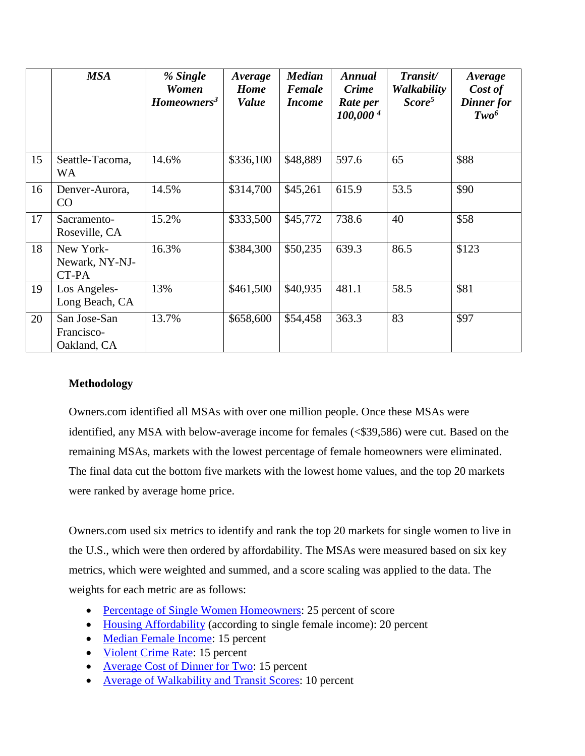|    | <b>MSA</b>                                | % Single<br><b>Women</b><br>Homeowners <sup>3</sup> | Average<br>Home<br><b>Value</b> | <b>Median</b><br>Female<br><b>Income</b> | <b>Annual</b><br><b>Crime</b><br>Rate per<br>100,0004 | Transit/<br><b>Walkability</b><br>Score <sup>5</sup> | Average<br>Cost of<br>Dinner for<br>Two <sup>6</sup> |
|----|-------------------------------------------|-----------------------------------------------------|---------------------------------|------------------------------------------|-------------------------------------------------------|------------------------------------------------------|------------------------------------------------------|
| 15 | Seattle-Tacoma,<br><b>WA</b>              | 14.6%                                               | \$336,100                       | \$48,889                                 | 597.6                                                 | 65                                                   | \$88                                                 |
| 16 | Denver-Aurora,<br>CO                      | 14.5%                                               | \$314,700                       | \$45,261                                 | 615.9                                                 | 53.5                                                 | \$90                                                 |
| 17 | Sacramento-<br>Roseville, CA              | 15.2%                                               | \$333,500                       | \$45,772                                 | 738.6                                                 | 40                                                   | \$58                                                 |
| 18 | New York-<br>Newark, NY-NJ-<br>CT-PA      | 16.3%                                               | \$384,300                       | \$50,235                                 | 639.3                                                 | 86.5                                                 | \$123                                                |
| 19 | Los Angeles-<br>Long Beach, CA            | 13%                                                 | \$461,500                       | \$40,935                                 | 481.1                                                 | 58.5                                                 | \$81                                                 |
| 20 | San Jose-San<br>Francisco-<br>Oakland, CA | 13.7%                                               | \$658,600                       | \$54,458                                 | 363.3                                                 | 83                                                   | \$97                                                 |

### **Methodology**

Owners.com identified all MSAs with over one million people. Once these MSAs were identified, any MSA with below-average income for females (<\$39,586) were cut. Based on the remaining MSAs, markets with the lowest percentage of female homeowners were eliminated. The final data cut the bottom five markets with the lowest home values, and the top 20 markets were ranked by average home price.

Owners.com used six metrics to identify and rank the top 20 markets for single women to live in the U.S., which were then ordered by affordability. The MSAs were measured based on six key metrics, which were weighted and summed, and a score scaling was applied to the data. The weights for each metric are as follows:

- [Percentage of Single Women Homeowners:](https://www.census.gov/) 25 percent of score
- [Housing Affordability](https://www.census.gov/) (according to single female income): 20 percent
- Median [Female Income:](https://www.census.gov/) 15 percent
- [Violent Crime Rate:](https://www.ucrdatatool.gov/) 15 percent
- [Average Cost of Dinner for Two:](https://www.expatistan.com/cost-of-living) 15 percent
- [Average of Walkability and Transit Scores:](https://www.walkscore.com/) 10 percent